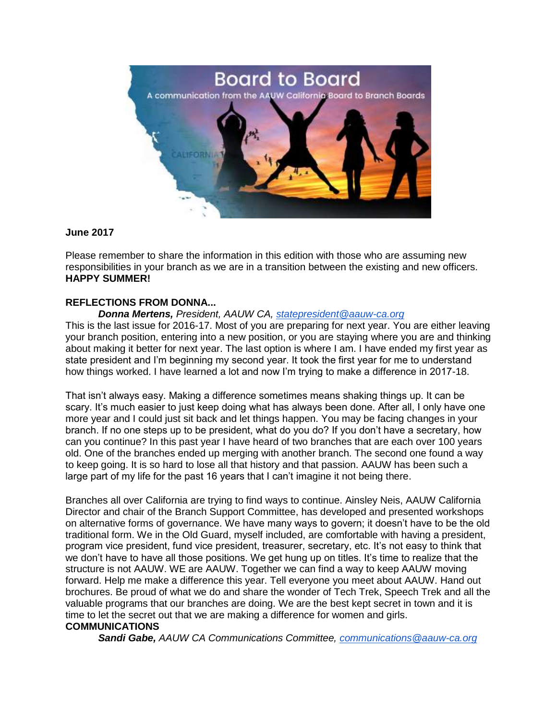

### **June 2017**

Please remember to share the information in this edition with those who are assuming new responsibilities in your branch as we are in a transition between the existing and new officers. **HAPPY SUMMER!**

### **REFLECTIONS FROM DONNA...**

*Donna Mertens, President, AAUW CA, [statepresident@aauw-ca.org](mailto:statepresident@aauw-ca.org)* This is the last issue for 2016-17. Most of you are preparing for next year. You are either leaving your branch position, entering into a new position, or you are staying where you are and thinking about making it better for next year. The last option is where I am. I have ended my first year as state president and I'm beginning my second year. It took the first year for me to understand how things worked. I have learned a lot and now I'm trying to make a difference in 2017-18.

That isn't always easy. Making a difference sometimes means shaking things up. It can be scary. It's much easier to just keep doing what has always been done. After all, I only have one more year and I could just sit back and let things happen. You may be facing changes in your branch. If no one steps up to be president, what do you do? If you don't have a secretary, how can you continue? In this past year I have heard of two branches that are each over 100 years old. One of the branches ended up merging with another branch. The second one found a way to keep going. It is so hard to lose all that history and that passion. AAUW has been such a large part of my life for the past 16 years that I can't imagine it not being there.

Branches all over California are trying to find ways to continue. Ainsley Neis, AAUW California Director and chair of the Branch Support Committee, has developed and presented workshops on alternative forms of governance. We have many ways to govern; it doesn't have to be the old traditional form. We in the Old Guard, myself included, are comfortable with having a president, program vice president, fund vice president, treasurer, secretary, etc. It's not easy to think that we don't have to have all those positions. We get hung up on titles. It's time to realize that the structure is not AAUW. WE are AAUW. Together we can find a way to keep AAUW moving forward. Help me make a difference this year. Tell everyone you meet about AAUW. Hand out brochures. Be proud of what we do and share the wonder of Tech Trek, Speech Trek and all the valuable programs that our branches are doing. We are the best kept secret in town and it is time to let the secret out that we are making a difference for women and girls.

## **COMMUNICATIONS**

*Sandi Gabe, AAUW CA Communications Committee, [communications@aauw-ca.org](mailto:communications@aauw-ca.org)*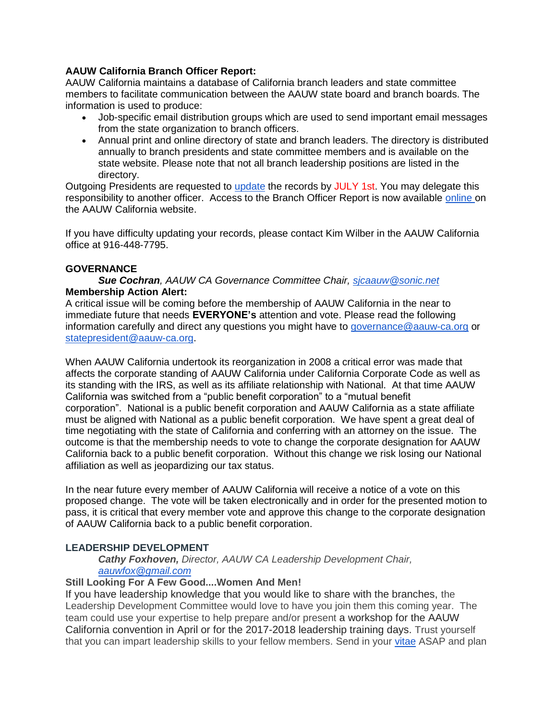## **AAUW California Branch Officer Report:**

AAUW California maintains a database of California branch leaders and state committee members to facilitate communication between the AAUW state board and branch boards. The information is used to produce:

- Job-specific email distribution groups which are used to send important email messages from the state organization to branch officers.
- Annual print and online directory of state and branch leaders. The directory is distributed annually to branch presidents and state committee members and is available on the state website. Please note that not all branch leadership positions are listed in the directory.

Outgoing Presidents are requested to [update](http://www.aauw-ca.org/branch-officer-report/) the records by JULY 1st. You may delegate this responsibility to another officer. Access to the Branch Officer Report is now available [online](http://www.aauw-ca.org/branch-officer-report/) on the AAUW California website.

If you have difficulty updating your records, please contact Kim Wilber in the AAUW California office at 916-448-7795.

## **GOVERNANCE**

### *Sue Cochran, AAUW CA Governance Committee Chair, [sjcaauw@sonic.net](mailto:sjcaauw@sonic.net)* **Membership Action Alert:**

A critical issue will be coming before the membership of AAUW California in the near to immediate future that needs **EVERYONE's** attention and vote. Please read the following information carefully and direct any questions you might have to [governance@aauw-ca.org](mailto:governance@aauw-ca.org) or [statepresident@aauw-ca.org.](mailto:statepresident@aauw-ca.org)

When AAUW California undertook its reorganization in 2008 a critical error was made that affects the corporate standing of AAUW California under California Corporate Code as well as its standing with the IRS, as well as its affiliate relationship with National. At that time AAUW California was switched from a "public benefit corporation" to a "mutual benefit corporation". National is a public benefit corporation and AAUW California as a state affiliate must be aligned with National as a public benefit corporation. We have spent a great deal of time negotiating with the state of California and conferring with an attorney on the issue. The outcome is that the membership needs to vote to change the corporate designation for AAUW California back to a public benefit corporation. Without this change we risk losing our National affiliation as well as jeopardizing our tax status.

In the near future every member of AAUW California will receive a notice of a vote on this proposed change. The vote will be taken electronically and in order for the presented motion to pass, it is critical that every member vote and approve this change to the corporate designation of AAUW California back to a public benefit corporation.

## **LEADERSHIP DEVELOPMENT**

### *Cathy Foxhoven, Director, AAUW CA Leadership Development Chair, [aauwfox@gmail.com](mailto:aauwfox@gmail.com)*

### **Still Looking For A Few Good....Women And Men!**

If you have leadership knowledge that you would like to share with the branches, the Leadership Development Committee would love to have you join them this coming year. The team could use your expertise to help prepare and/or present a workshop for the AAUW California convention in April or for the 2017-2018 leadership training days. Trust yourself that you can impart leadership skills to your fellow members. Send in your [vitae](http://www.aauw-ca.org/join-the-board/) ASAP and plan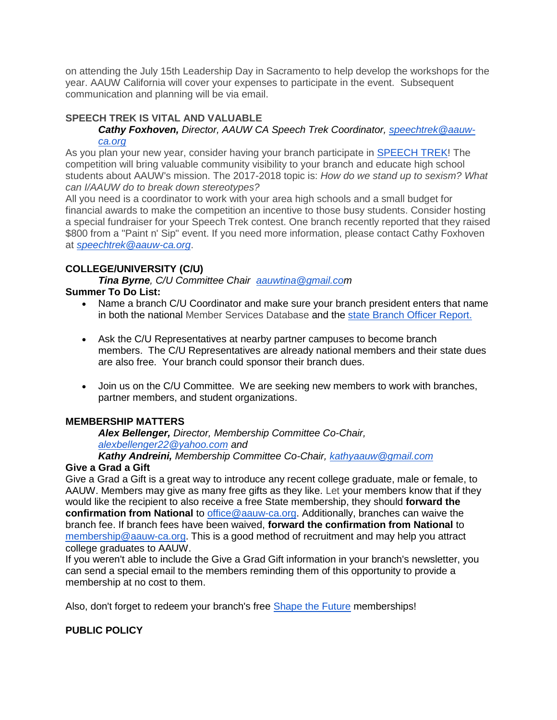on attending the July 15th Leadership Day in Sacramento to help develop the workshops for the year. AAUW California will cover your expenses to participate in the event. Subsequent communication and planning will be via email.

# **SPEECH TREK IS VITAL AND VALUABLE**

## *Cathy Foxhoven, Director, AAUW CA Speech Trek Coordinator, [speechtrek@aauw](mailto:speechtrek@aauw-ca.org)[ca.org](mailto:speechtrek@aauw-ca.org)*

As you plan your new year, consider having your branch participate in [SPEECH TREK!](http://www.aauw-ca.org/category/programs/speech-trek/) The competition will bring valuable community visibility to your branch and educate high school students about AAUW's mission. The 2017-2018 topic is: *How do we stand up to sexism? What can I/AAUW do to break down stereotypes?*

All you need is a coordinator to work with your area high schools and a small budget for financial awards to make the competition an incentive to those busy students. Consider hosting a special fundraiser for your Speech Trek contest. One branch recently reported that they raised \$800 from a "Paint n' Sip" event. If you need more information, please contact Cathy Foxhoven at *[speechtrek@aauw-ca.org](mailto:speechtrek@aauw-ca.org)*.

## **COLLEGE/UNIVERSITY (C/U)**

*Tina Byrne, C/U Committee Chair [aauwtina@gmail.com](mailto:aauwtina@gmail.co)*

# **Summer To Do List:**

- Name a branch C/U Coordinator and make sure your branch president enters that name in both the national Member Services Database and the [state Branch Officer Report.](http://www.aauw-ca.org/branch-officer-report/)
- Ask the C/U Representatives at nearby partner campuses to become branch members. The C/U Representatives are already national members and their state dues are also free. Your branch could sponsor their branch dues.
- Join us on the C/U Committee. We are seeking new members to work with branches, partner members, and student organizations.

# **MEMBERSHIP MATTERS**

*Alex Bellenger, Director, Membership Committee Co-Chair, [alexbellenger22@yahoo.com](mailto:alexbellenger22@yahoo.com) and*

*Kathy Andreini, Membership Committee Co-Chair, [kathyaauw@gmail.com](mailto:kathyaauw@gmail.com)*

## **Give a Grad a Gift**

Give a Grad a Gift is a great way to introduce any recent college graduate, male or female, to AAUW. Members may give as many free gifts as they like. Let your members know that if they would like the recipient to also receive a free State membership, they should **forward the confirmation from National** to [office@aauw-ca.org.](mailto:office@aauw-ca.org) Additionally, branches can waive the branch fee. If branch fees have been waived, **forward the confirmation from National** to [membership@aauw-ca.org.](mailto:membership@aauw-ca.org) This is a good method of recruitment and may help you attract college graduates to AAUW.

If you weren't able to include the Give a Grad Gift information in your branch's newsletter, you can send a special email to the members reminding them of this opportunity to provide a membership at no cost to them.

Also, don't forget to redeem your branch's free [Shape the Future](http://www.aauw.org/resource/shape-the-future-membership-campaign/) memberships!

# **PUBLIC POLICY**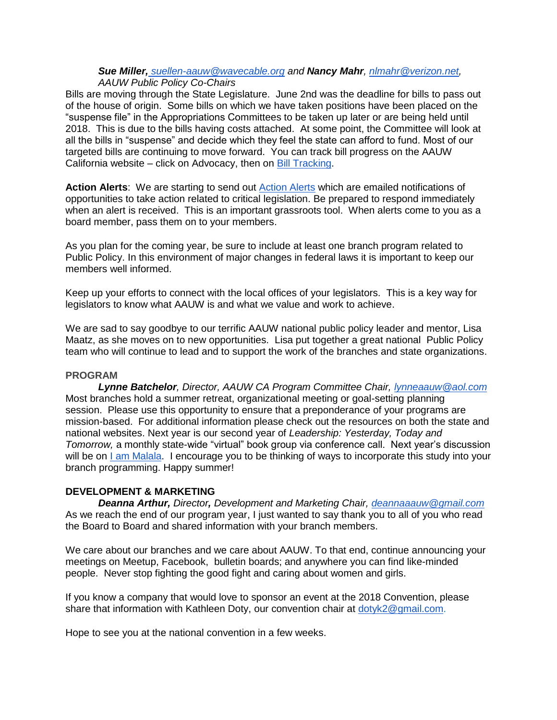#### *Sue Miller, [suellen-aauw@wavecable.org](mailto:suellen-aauw@wavecable.org) and Nancy Mahr, [nlmahr@verizon.net,](mailto:nlmahr@verizon.net) AAUW Public Policy Co-Chairs*

Bills are moving through the State Legislature. June 2nd was the deadline for bills to pass out of the house of origin. Some bills on which we have taken positions have been placed on the "suspense file" in the Appropriations Committees to be taken up later or are being held until 2018. This is due to the bills having costs attached. At some point, the Committee will look at all the bills in "suspense" and decide which they feel the state can afford to fund. Most of our targeted bills are continuing to move forward. You can track bill progress on the AAUW California website – click on Advocacy, then on [Bill Tracking.](http://www.aauw-ca.org/bill-tracking/)

**Action Alerts**: We are starting to send out [Action Alerts](http://www.aauw-ca.org/sign-action-alerts/) which are emailed notifications of opportunities to take action related to critical legislation. Be prepared to respond immediately when an alert is received. This is an important grassroots tool. When alerts come to you as a board member, pass them on to your members.

As you plan for the coming year, be sure to include at least one branch program related to Public Policy. In this environment of major changes in federal laws it is important to keep our members well informed.

Keep up your efforts to connect with the local offices of your legislators. This is a key way for legislators to know what AAUW is and what we value and work to achieve.

We are sad to say goodbye to our terrific AAUW national public policy leader and mentor, Lisa Maatz, as she moves on to new opportunities. Lisa put together a great national Public Policy team who will continue to lead and to support the work of the branches and state organizations.

#### **PROGRAM**

*Lynne Batchelor, Director, AAUW CA Program Committee Chair, [lynneaauw@aol.com](mailto:lynneaauw@aol.com)* Most branches hold a summer retreat, organizational meeting or goal-setting planning session. Please use this opportunity to ensure that a preponderance of your programs are mission-based. For additional information please check out the resources on both the state and national websites. Next year is our second year of *Leadership: Yesterday, Today and Tomorrow,* a monthly state-wide "virtual" book group via conference call. Next year's discussion will be on [I am Malala.](https://www.amazon.com/Am-Malala-Stood-Education-Taliban/dp/0316322407) I encourage you to be thinking of ways to incorporate this study into your branch programming. Happy summer!

## **DEVELOPMENT & MARKETING**

*Deanna Arthur, Director, Development and Marketing Chair, [deannaaauw@gmail.com](mailto:deannaaauw@gmail.com)* As we reach the end of our program year, I just wanted to say thank you to all of you who read the Board to Board and shared information with your branch members.

We care about our branches and we care about AAUW. To that end, continue announcing your meetings on Meetup, Facebook, bulletin boards; and anywhere you can find like-minded people. Never stop fighting the good fight and caring about women and girls.

If you know a company that would love to sponsor an event at the 2018 Convention, please share that information with Kathleen Doty, our convention chair at [dotyk2@gmail.com.](mailto:dotyk2@gmail.com)

Hope to see you at the national convention in a few weeks.